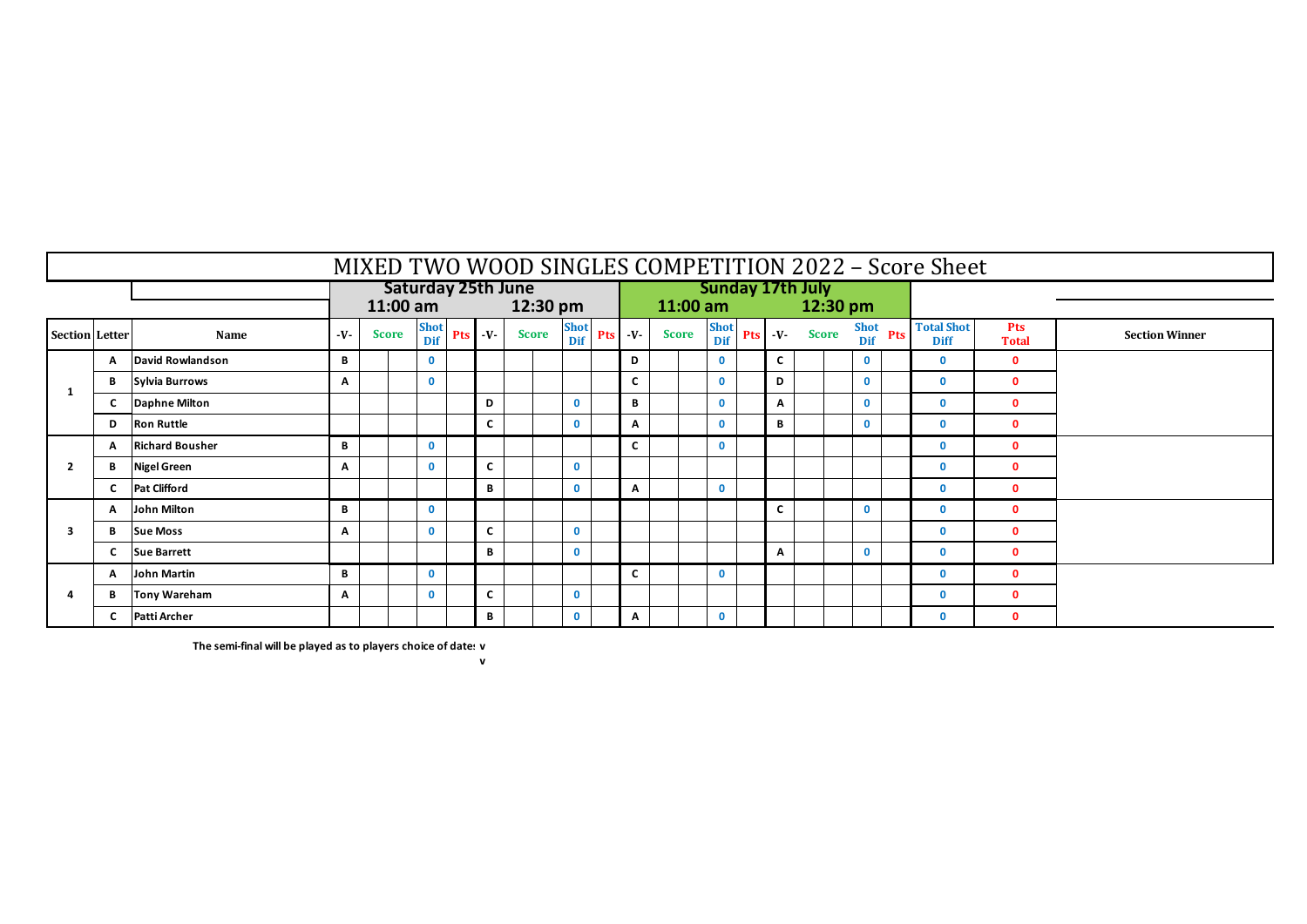|                       | MIXED TWO WOOD SINGLES COMPETITION 2022 - Score Sheet |                        |        |              |                           |                                                                                                             |              |              |              |              |              |                         |              |               |                    |                                              |                                  |                            |                       |
|-----------------------|-------------------------------------------------------|------------------------|--------|--------------|---------------------------|-------------------------------------------------------------------------------------------------------------|--------------|--------------|--------------|--------------|--------------|-------------------------|--------------|---------------|--------------------|----------------------------------------------|----------------------------------|----------------------------|-----------------------|
|                       |                                                       |                        |        |              | <b>Saturday 25th June</b> |                                                                                                             |              |              |              |              |              | <b>Sunday 17th July</b> |              |               |                    |                                              |                                  |                            |                       |
|                       |                                                       |                        |        | 11:00 am     |                           |                                                                                                             |              | 12:30 pm     |              |              |              | $11:00$ am              |              |               | $12:30 \text{ pm}$ |                                              |                                  |                            |                       |
| <b>Section</b> Letter |                                                       | Name                   | $-V$ - | <b>Score</b> |                           | $\begin{array}{c c}\n\text{Short} & \text{Pts} & -\text{V} \\ \hline\n\text{Dif} & \text{Pts}\n\end{array}$ |              | <b>Score</b> | Shot<br>Dif  | $Pts - V$    | <b>Score</b> | Shot<br>Dif             |              | Pts -V- Score |                    | $\frac{\text{Short}}{\text{Set}}$ Pts<br>Dif | <b>Total Shot</b><br><b>Diff</b> | <b>Pts</b><br><b>Total</b> | <b>Section Winner</b> |
|                       | A                                                     | David Rowlandson       | B      |              | $\mathbf{0}$              |                                                                                                             |              |              |              | D            |              | $\mathbf{0}$            | $\mathbf{C}$ |               |                    | $\mathbf{0}$                                 | $\mathbf{0}$                     | $\mathbf 0$                |                       |
| -1                    | B                                                     | Sylvia Burrows         | A      |              | 0                         |                                                                                                             |              |              |              | C            |              | $\mathbf{0}$            | D            |               |                    | $\mathbf 0$                                  | $\mathbf{0}$                     | $\mathbf 0$                |                       |
|                       | C                                                     | <b>Daphne Milton</b>   |        |              |                           |                                                                                                             | D            |              | $\mathbf{0}$ | B            |              | $\mathbf{0}$            | A            |               |                    | $\mathbf{0}$                                 | $\mathbf{0}$                     | $\mathbf{0}$               |                       |
|                       | D                                                     | <b>Ron Ruttle</b>      |        |              |                           |                                                                                                             | C            |              | $\mathbf{0}$ | А            |              | $\mathbf{0}$            | B            |               |                    | 0                                            | $\mathbf{0}$                     | $\mathbf{0}$               |                       |
|                       | A                                                     | <b>Richard Bousher</b> | B      |              | $\mathbf{0}$              |                                                                                                             |              |              |              | $\mathbf{C}$ |              | $\mathbf{0}$            |              |               |                    |                                              | $\mathbf{0}$                     | $\mathbf{0}$               |                       |
| $\overline{2}$        | B                                                     | <b>Nigel Green</b>     | A      |              | $\Omega$                  |                                                                                                             | $\mathbf{C}$ |              | $\mathbf{0}$ |              |              |                         |              |               |                    |                                              | $\Omega$                         | $\mathbf{0}$               |                       |
|                       | $\mathbf{C}$                                          | <b>Pat Clifford</b>    |        |              |                           |                                                                                                             | B            |              | $\mathbf{0}$ | А            |              | $\mathbf{0}$            |              |               |                    |                                              | $\Omega$                         | $\Omega$                   |                       |
|                       | A                                                     | John Milton            | B      |              | $\mathbf{0}$              |                                                                                                             |              |              |              |              |              |                         | C            |               |                    | $\mathbf{0}$                                 | $\mathbf{0}$                     | $\mathbf{0}$               |                       |
| 3                     | В                                                     | <b>Sue Moss</b>        | А      |              | $\Omega$                  |                                                                                                             | $\mathbf{C}$ |              | $\mathbf 0$  |              |              |                         |              |               |                    |                                              | $\Omega$                         | $\mathbf{0}$               |                       |
|                       | C                                                     | <b>Sue Barrett</b>     |        |              |                           |                                                                                                             | B            |              | $\mathbf 0$  |              |              |                         | A            |               |                    | $\mathbf 0$                                  | $\mathbf{0}$                     | $\mathbf{0}$               |                       |
|                       | A                                                     | John Martin            | В      |              | 0                         |                                                                                                             |              |              |              | C            |              | $\mathbf{0}$            |              |               |                    |                                              | $\Omega$                         | $\Omega$                   |                       |
|                       | В                                                     | <b>Tony Wareham</b>    | Α      |              | $\Omega$                  |                                                                                                             | C.           |              | $\mathbf{0}$ |              |              |                         |              |               |                    |                                              | $\Omega$                         | $\mathbf{0}$               |                       |
|                       | C                                                     | Patti Archer           |        |              |                           |                                                                                                             | В            |              | $\mathbf 0$  | A            |              | $\mathbf{0}$            |              |               |                    |                                              | $\Omega$                         | 0                          |                       |

**The semi-final will be played as to players choice of dates: v**

 **v**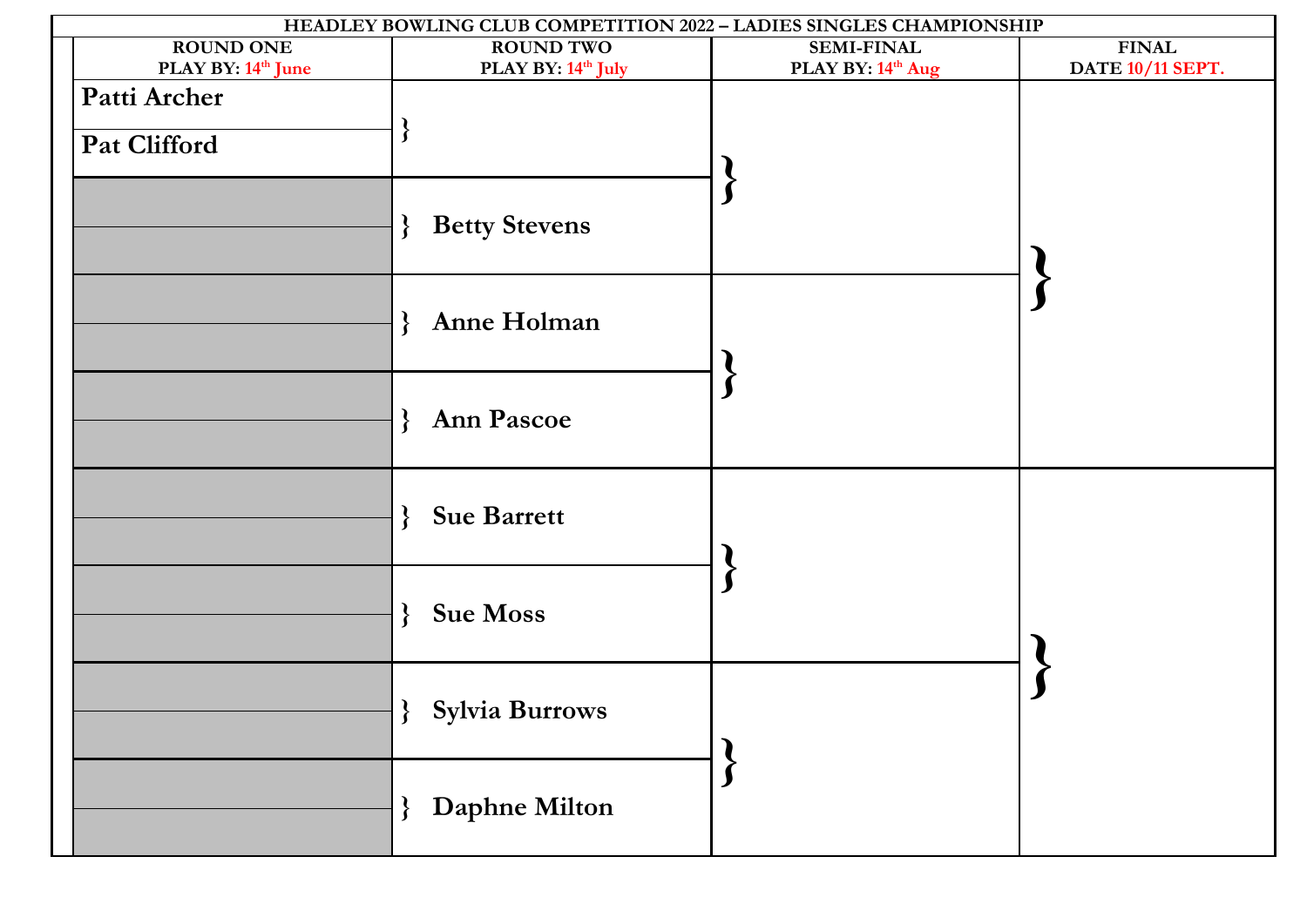|                                                                | HEADLEY BOWLING CLUB COMPETITION 2022 - LADIES SINGLES CHAMPIONSHIP |                   |                  |
|----------------------------------------------------------------|---------------------------------------------------------------------|-------------------|------------------|
| <b>ROUND ONE</b>                                               | <b>ROUND TWO</b>                                                    | <b>SEMI-FINAL</b> | <b>FINAL</b>     |
| PLAY BY: 14 <sup>th</sup> June<br>Patti Archer<br>Pat Clifford | PLAY BY: 14 <sup>th</sup> July                                      | PLAY BY: 14th Aug | DATE 10/11 SEPT. |
|                                                                | <b>Betty Stevens</b><br>$\mathbf{r}$                                |                   |                  |
|                                                                | Anne Holman<br>$\mathcal{E}$                                        |                   |                  |
|                                                                | Ann Pascoe<br>$\mathbf{\mathcal{L}}$                                |                   |                  |
|                                                                | <b>Sue Barrett</b><br>$\mathcal{E}$                                 |                   |                  |
|                                                                | <b>Sue Moss</b><br>$\mathcal{E}$                                    |                   |                  |
|                                                                | <b>}</b> Sylvia Burrows                                             |                   |                  |
|                                                                | } Daphne Milton                                                     |                   |                  |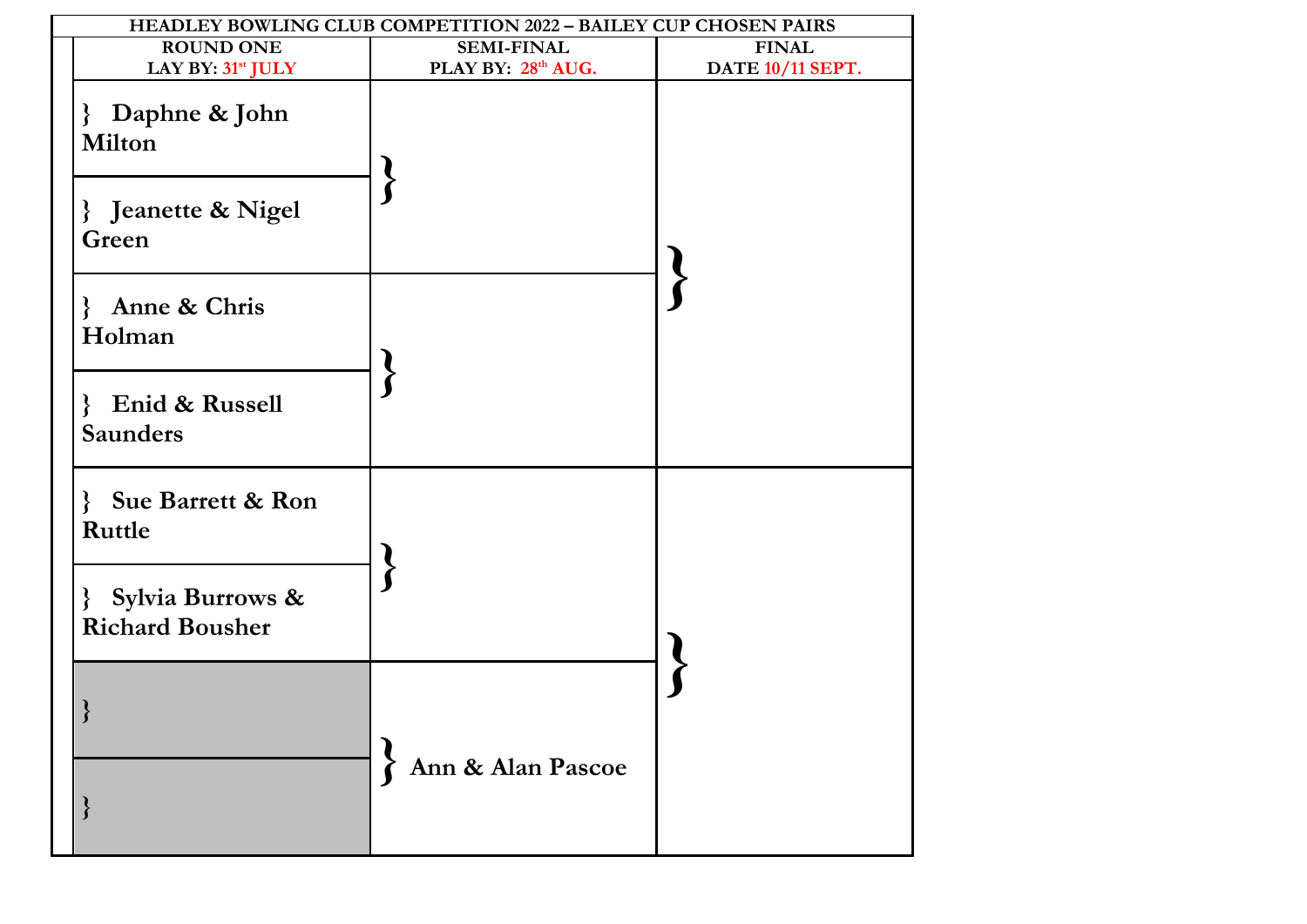|                                                                  | HEADLEY BOWLING CLUB COMPETITION 2022 - BAILEY CUP CHOSEN PAIRS |                  |  |
|------------------------------------------------------------------|-----------------------------------------------------------------|------------------|--|
| <b>ROUND ONE</b>                                                 | <b>SEMI-FINAL</b>                                               | <b>FINAL</b>     |  |
| LAY BY: 31 <sup>st</sup> JULY                                    | PLAY BY: 28th AUG.                                              | DATE 10/11 SEPT. |  |
| Daphne & John<br>$\left\{ \right.$<br><b>Milton</b>              |                                                                 |                  |  |
| } Jeanette & Nigel<br>Green                                      |                                                                 |                  |  |
| Anne & Chris<br>$\mathbf{\mathcal{L}}$<br>Holman                 |                                                                 |                  |  |
| Enid & Russell<br>$\mathcal{S}_{\mathcal{S}}$<br><b>Saunders</b> |                                                                 |                  |  |
| <b>Sue Barrett &amp; Ron</b><br>Ruttle                           |                                                                 |                  |  |
| Sylvia Burrows &<br>∤<br><b>Richard Bousher</b>                  |                                                                 |                  |  |
| ો                                                                |                                                                 |                  |  |
|                                                                  | Ann & Alan Pascoe                                               |                  |  |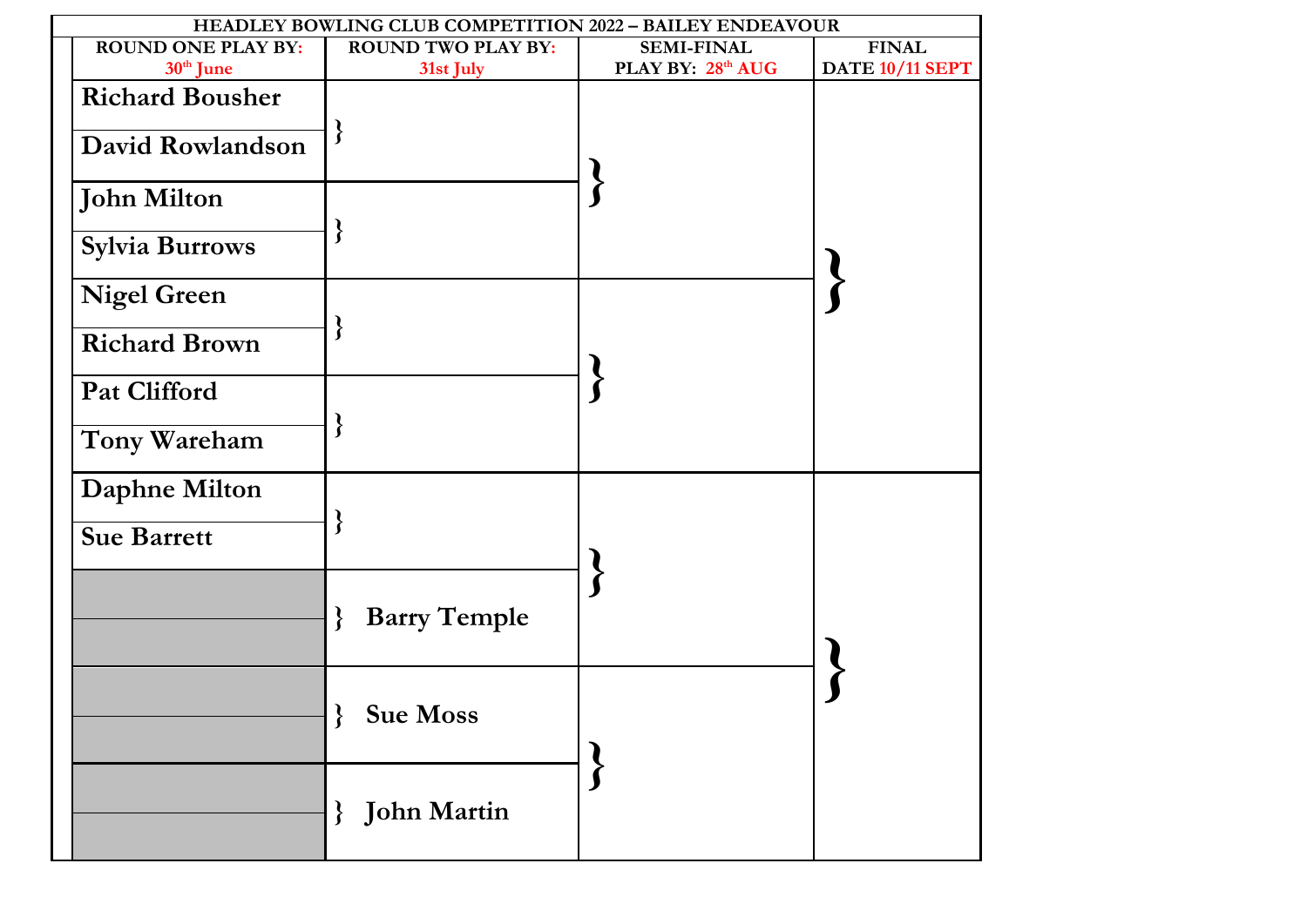| HEADLEY BOWLING CLUB COMPETITION 2022 - BAILEY ENDEAVOUR |                           |                   |                 |  |  |  |  |
|----------------------------------------------------------|---------------------------|-------------------|-----------------|--|--|--|--|
| <b>ROUND ONE PLAY BY:</b>                                | <b>ROUND TWO PLAY BY:</b> | <b>SEMI-FINAL</b> | <b>FINAL</b>    |  |  |  |  |
| 30 <sup>th</sup> June                                    | 31st July                 | PLAY BY: 28th AUG | DATE 10/11 SEPT |  |  |  |  |
| <b>Richard Bousher</b><br>David Rowlandson               |                           |                   |                 |  |  |  |  |
| <b>John Milton</b>                                       |                           |                   |                 |  |  |  |  |
| Sylvia Burrows                                           |                           |                   |                 |  |  |  |  |
| <b>Nigel Green</b>                                       |                           |                   |                 |  |  |  |  |
| <b>Richard Brown</b>                                     |                           |                   |                 |  |  |  |  |
| <b>Pat Clifford</b>                                      |                           |                   |                 |  |  |  |  |
| Tony Wareham                                             |                           |                   |                 |  |  |  |  |
| Daphne Milton                                            |                           |                   |                 |  |  |  |  |
| <b>Sue Barrett</b>                                       | ſ                         |                   |                 |  |  |  |  |
|                                                          | <b>Barry Temple</b>       |                   |                 |  |  |  |  |
|                                                          | <b>Sue Moss</b>           |                   |                 |  |  |  |  |
|                                                          | <b>}</b> John Martin      |                   |                 |  |  |  |  |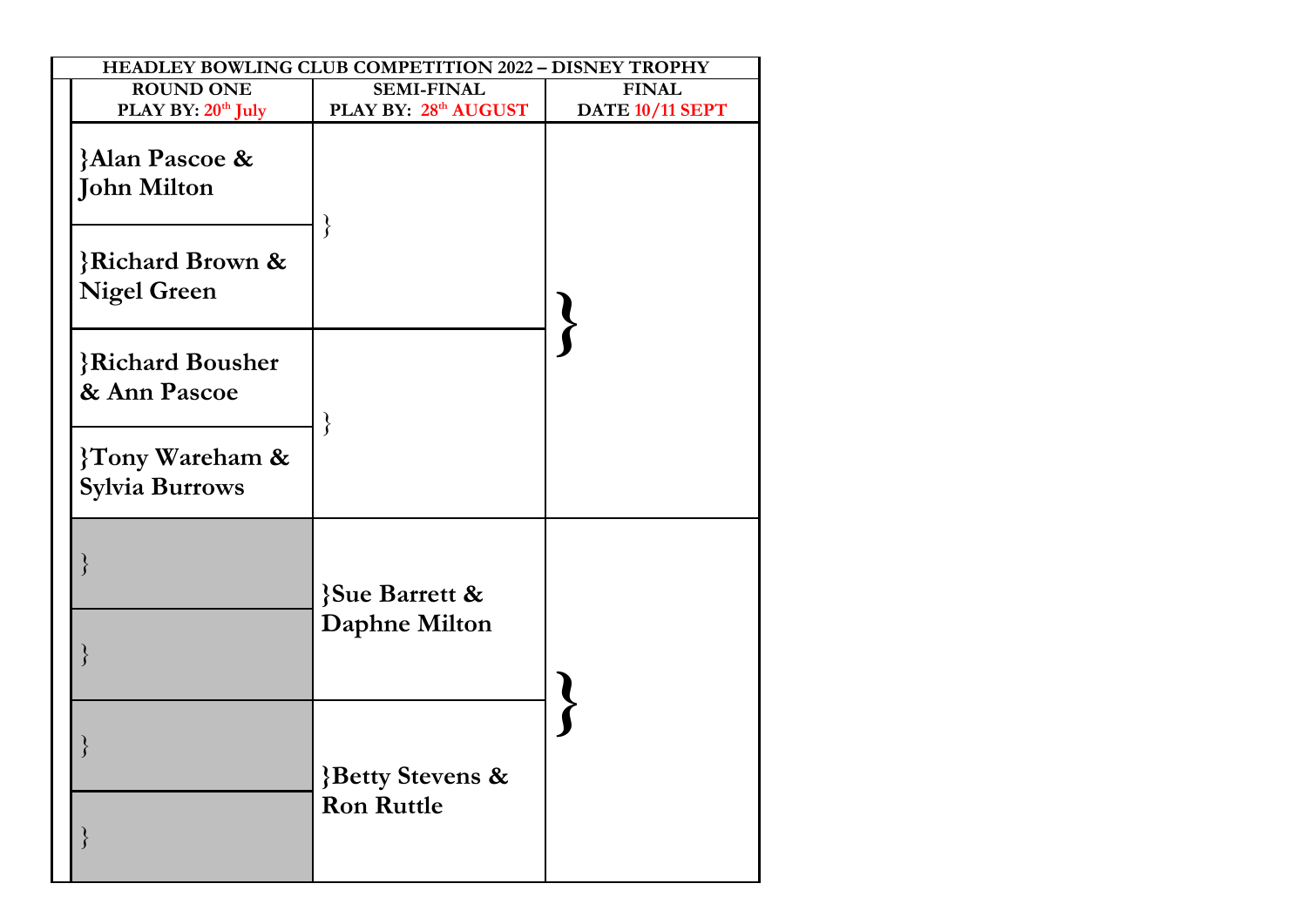| HEADLEY BOWLING CLUB COMPETITION 2022 - DISNEY TROPHY |                                                  |                 |  |  |  |  |  |
|-------------------------------------------------------|--------------------------------------------------|-----------------|--|--|--|--|--|
| <b>ROUND ONE</b>                                      | <b>SEMI-FINAL</b>                                | <b>FINAL</b>    |  |  |  |  |  |
| PLAY BY: 20th July                                    | PLAY BY: 28th AUGUST                             | DATE 10/11 SEPT |  |  |  |  |  |
| <b>Alan Pascoe &amp;</b><br><b>John Milton</b>        | $\}$                                             |                 |  |  |  |  |  |
| <b>Richard Brown &amp;</b><br><b>Nigel Green</b>      |                                                  |                 |  |  |  |  |  |
| <b>Richard Bousher</b><br>& Ann Pascoe                | $\}$                                             |                 |  |  |  |  |  |
| {Tony Wareham &<br><b>Sylvia Burrows</b>              |                                                  |                 |  |  |  |  |  |
|                                                       | <b>Sue Barrett &amp;</b><br><b>Daphne Milton</b> |                 |  |  |  |  |  |
|                                                       |                                                  |                 |  |  |  |  |  |
|                                                       | <b>Betty Stevens &amp;</b>                       |                 |  |  |  |  |  |
|                                                       | <b>Ron Ruttle</b>                                |                 |  |  |  |  |  |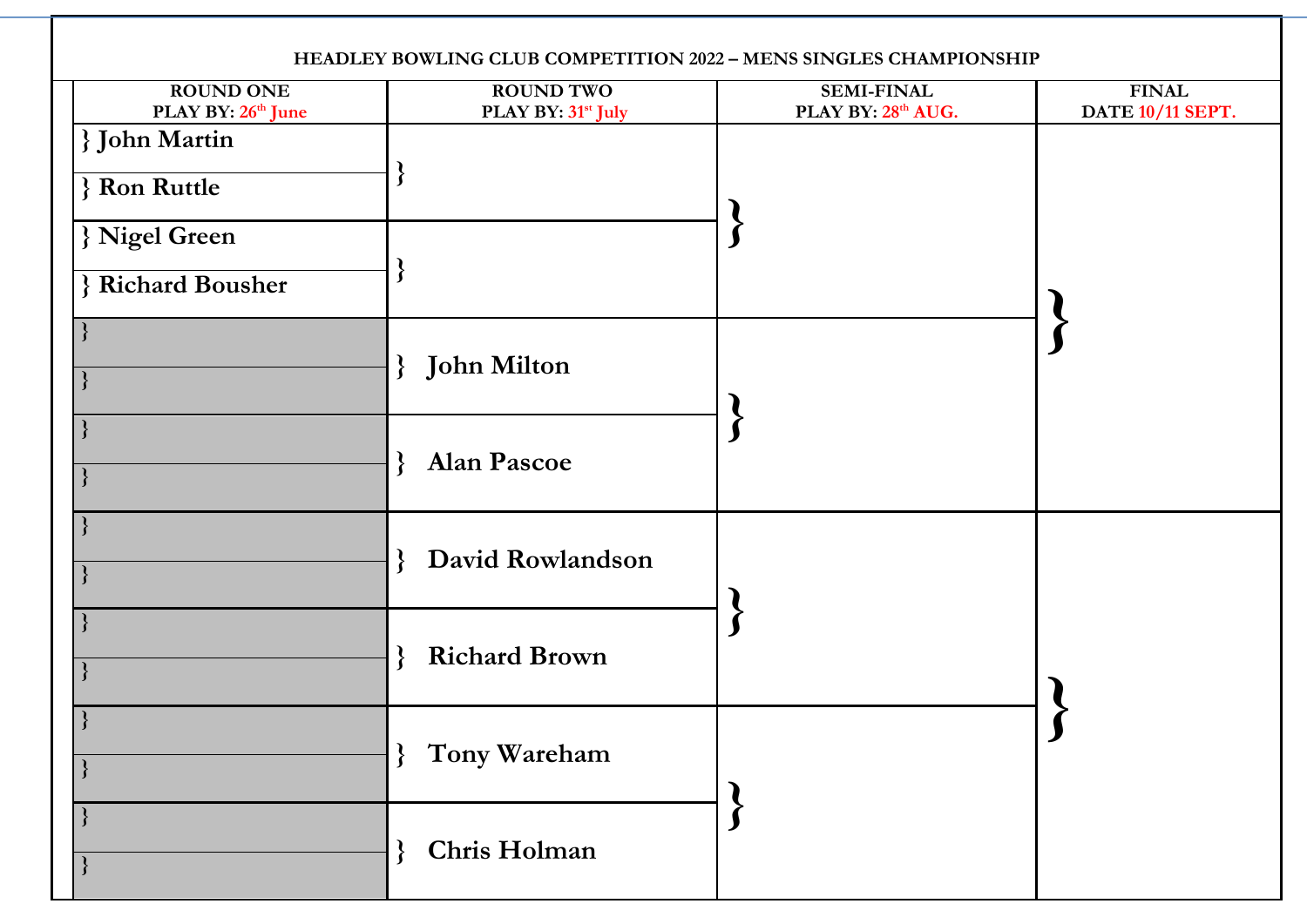| HEADLEY BOWLING CLUB COMPETITION 2022 - MENS SINGLES CHAMPIONSHIP |                                                    |                                         |                                  |  |  |  |  |
|-------------------------------------------------------------------|----------------------------------------------------|-----------------------------------------|----------------------------------|--|--|--|--|
| <b>ROUND ONE</b><br>PLAY BY: 26 <sup>th</sup> June                | <b>ROUND TWO</b><br>PLAY BY: 31 <sup>st</sup> July | <b>SEMI-FINAL</b><br>PLAY BY: 28th AUG. | <b>FINAL</b><br>DATE 10/11 SEPT. |  |  |  |  |
| <b>John Martin</b><br>} Ron Ruttle<br>} Nigel Green               |                                                    |                                         |                                  |  |  |  |  |
| <b>Richard Bousher</b>                                            |                                                    |                                         |                                  |  |  |  |  |
|                                                                   | <b>John Milton</b><br>$\mathbf{\mathcal{L}}$       |                                         |                                  |  |  |  |  |
|                                                                   | <b>Alan Pascoe</b><br>$\mathbf{r}$                 |                                         |                                  |  |  |  |  |
|                                                                   | David Rowlandson                                   |                                         |                                  |  |  |  |  |
|                                                                   | <b>Richard Brown</b>                               |                                         |                                  |  |  |  |  |
|                                                                   | Tony Wareham<br>$\mathbf{\}$                       |                                         |                                  |  |  |  |  |
|                                                                   | Chris Holman                                       |                                         |                                  |  |  |  |  |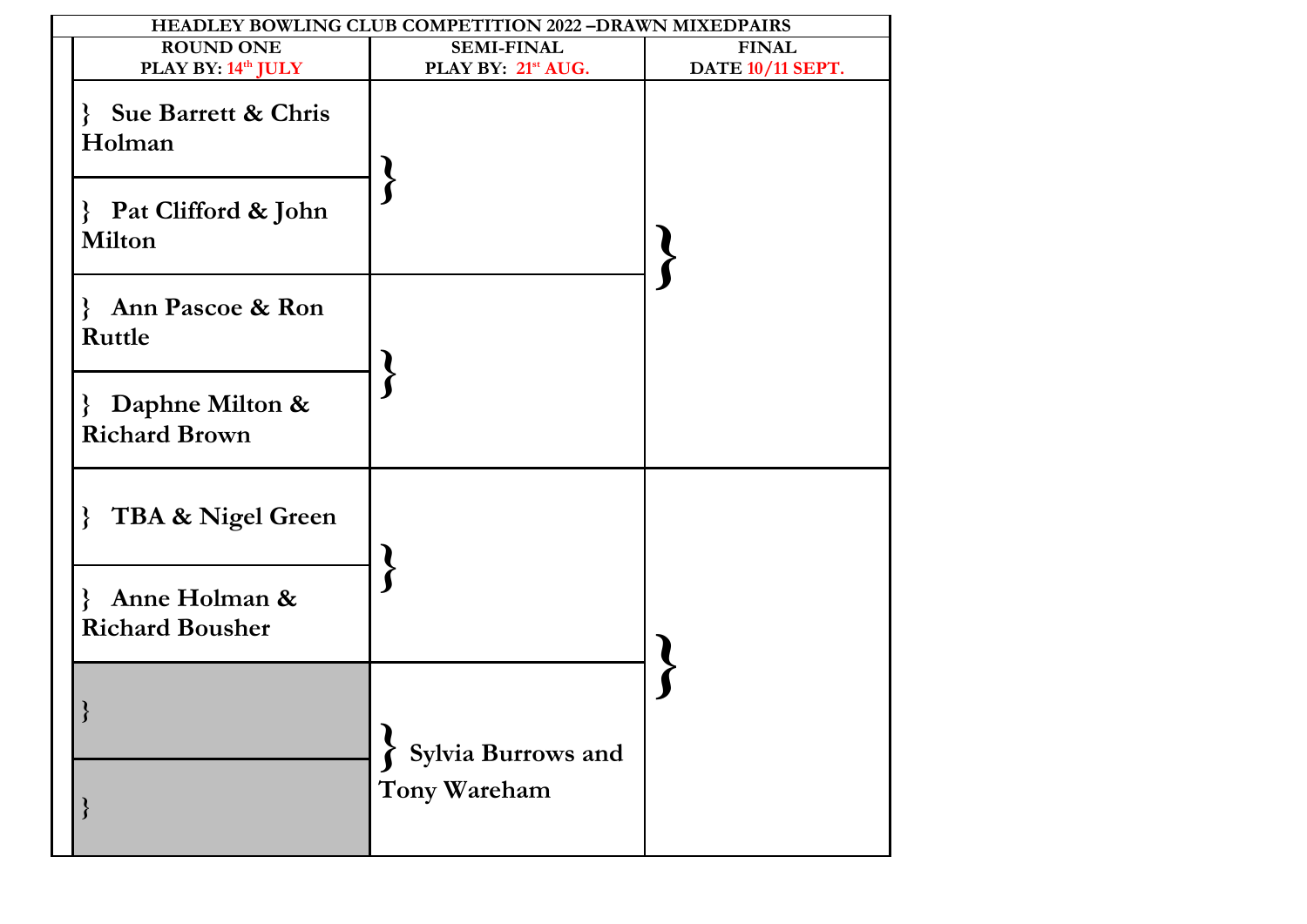| HEADLEY BOWLING CLUB COMPETITION 2022 -DRAWN MIXEDPAIRS  |                                |                  |  |  |  |  |  |
|----------------------------------------------------------|--------------------------------|------------------|--|--|--|--|--|
| <b>ROUND ONE</b>                                         | <b>SEMI-FINAL</b>              | <b>FINAL</b>     |  |  |  |  |  |
| PLAY BY: 14th JULY                                       | PLAY BY: 21 <sup>st</sup> AUG. | DATE 10/11 SEPT. |  |  |  |  |  |
| Sue Barrett & Chris<br>$\left\{ \right.$<br>Holman       |                                |                  |  |  |  |  |  |
| Pat Clifford & John<br><b>Milton</b>                     |                                |                  |  |  |  |  |  |
| <b>Ann Pascoe &amp; Ron</b><br>$\mathbf{r}$<br>Ruttle    |                                |                  |  |  |  |  |  |
| Daphne Milton &<br>$\mathcal{E}$<br><b>Richard Brown</b> |                                |                  |  |  |  |  |  |
| TBA & Nigel Green<br>$\mathcal{S}_{\mathcal{S}}$         |                                |                  |  |  |  |  |  |
| Anne Holman &<br>ł<br><b>Richard Bousher</b>             |                                |                  |  |  |  |  |  |
| <sup>1</sup>                                             | Sylvia Burrows and             |                  |  |  |  |  |  |
|                                                          | Tony Wareham                   |                  |  |  |  |  |  |